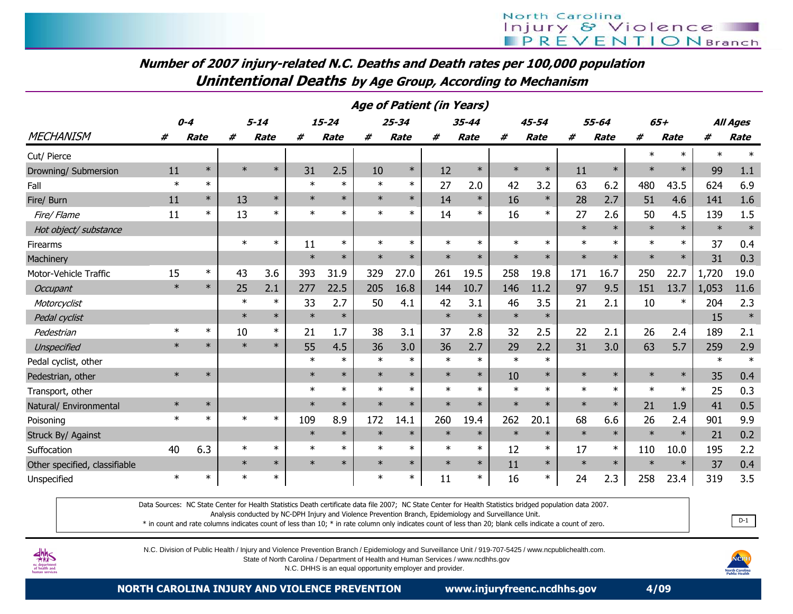Number of 2007 injury-related N.C. Deaths and Death rates per 100,000 populationUnintentional Deaths by Age Group, According to Mechanism

|                               |        |         |        |             |        |             |        |             | Age of Patient (in Years) |             |        |             |        |             |                  |        |                 |        |
|-------------------------------|--------|---------|--------|-------------|--------|-------------|--------|-------------|---------------------------|-------------|--------|-------------|--------|-------------|------------------|--------|-----------------|--------|
|                               |        | $0 - 4$ |        | $5 - 14$    |        | $15 - 24$   |        | 25-34       |                           | 35-44       |        | 45-54       |        | 55-64       | $65+$            |        | <b>All Ages</b> |        |
| <b>MECHANISM</b>              | #      | Rate    | #      | <b>Rate</b> | #      | <b>Rate</b> | #      | <b>Rate</b> | #                         | <b>Rate</b> | #      | <b>Rate</b> | #      | <b>Rate</b> | #<br><b>Rate</b> |        | #               | Rate   |
| Cut/ Pierce                   |        |         |        |             |        |             |        |             |                           |             |        |             |        |             | $\ast$           | $\ast$ | $\ast$          | $\ast$ |
| Drowning/ Submersion          | 11     | $\ast$  | $\ast$ | $\ast$      | 31     | 2.5         | 10     | $\ast$      | 12                        | $\ast$      | $\ast$ | $\ast$      | 11     | $\ast$      | $\ast$           | $\ast$ | 99              | 1.1    |
| Fall                          | $\ast$ | $\ast$  |        |             | $\ast$ | $\ast$      | $\ast$ | $\ast$      | 27                        | 2.0         | 42     | 3.2         | 63     | 6.2         | 480              | 43.5   | 624             | 6.9    |
| Fire/ Burn                    | 11     | $\ast$  | 13     | $\ast$      | $\ast$ | $\ast$      | $\ast$ | $\ast$      | 14                        | $\ast$      | 16     | $\ast$      | 28     | 2.7         | 51               | 4.6    | 141             | 1.6    |
| Fire/ Flame                   | 11     | $\ast$  | 13     | $\ast$      | $\ast$ | $\ast$      | $\ast$ | $\ast$      | 14                        | $\ast$      | 16     | $\ast$      | 27     | 2.6         | 50               | 4.5    | 139             | 1.5    |
| Hot object/ substance         |        |         |        |             |        |             |        |             |                           |             |        |             | $\ast$ | $\ast$      | $\ast$           | $\ast$ | $\ast$          | $\ast$ |
| Firearms                      |        |         | $\ast$ | $\ast$      | 11     | $\ast$      | $\ast$ | $\ast$      | $\ast$                    | $\ast$      | $\ast$ | $\ast$      | $\ast$ | $\ast$      | $\ast$           | $\ast$ | 37              | 0.4    |
| Machinery                     |        |         |        |             | $\ast$ | $\ast$      | $\ast$ | $\ast$      | $\ast$                    | $\ast$      | $\ast$ | $\ast$      | $\ast$ | $\ast$      | $\ast$           | $\ast$ | 31              | 0.3    |
| Motor-Vehicle Traffic         | 15     | $\ast$  | 43     | 3.6         | 393    | 31.9        | 329    | 27.0        | 261                       | 19.5        | 258    | 19.8        | 171    | 16.7        | 250              | 22.7   | 1,720           | 19.0   |
| <b>Occupant</b>               | $\ast$ | $\ast$  | 25     | 2.1         | 277    | 22.5        | 205    | 16.8        | 144                       | 10.7        | 146    | 11.2        | 97     | 9.5         | 151              | 13.7   | 1,053           | 11.6   |
| Motorcyclist                  |        |         | $\ast$ | $\ast$      | 33     | 2.7         | 50     | 4.1         | 42                        | 3.1         | 46     | 3.5         | 21     | 2.1         | 10               | $\ast$ | 204             | 2.3    |
| Pedal cyclist                 |        |         | $\ast$ | $\ast$      | $\ast$ | $\ast$      |        |             | $\ast$                    | $\ast$      | $\ast$ | $\ast$      |        |             |                  |        | 15              | $\ast$ |
| Pedestrian                    | $\ast$ | $\ast$  | 10     | $\ast$      | 21     | 1.7         | 38     | 3.1         | 37                        | 2.8         | 32     | 2.5         | 22     | 2.1         | 26               | 2.4    | 189             | 2.1    |
| Unspecified                   | $\ast$ | $\ast$  | $\ast$ | $\ast$      | 55     | 4.5         | 36     | 3.0         | 36                        | 2.7         | 29     | 2.2         | 31     | 3.0         | 63               | 5.7    | 259             | 2.9    |
| Pedal cyclist, other          |        |         |        |             | $\ast$ | $\ast$      | $\ast$ | $\ast$      | $\ast$                    | $\ast$      | $\ast$ | $\ast$      |        |             |                  |        | $\ast$          | $\ast$ |
| Pedestrian, other             | $\ast$ | $\ast$  |        |             | $\ast$ | $\ast$      | $\ast$ | $\ast$      | $\ast$                    | $\ast$      | 10     | $\ast$      | $\ast$ | $\ast$      | $\ast$           | $\ast$ | 35              | 0.4    |
| Transport, other              |        |         |        |             | $\ast$ | $\ast$      | $\ast$ | $\ast$      | $\ast$                    | $\ast$      | $\ast$ | $\ast$      | $\ast$ | $\ast$      | $\ast$           | $\ast$ | 25              | 0.3    |
| Natural/ Environmental        | $\ast$ | $\ast$  |        |             | $\ast$ | $\ast$      | $\ast$ | $\ast$      | $\ast$                    | $\ast$      | $\ast$ | $\ast$      | $\ast$ | $\ast$      | 21               | 1.9    | 41              | 0.5    |
| Poisoning                     | $\ast$ | $\ast$  | $\ast$ | $\ast$      | 109    | 8.9         | 172    | 14.1        | 260                       | 19.4        | 262    | 20.1        | 68     | 6.6         | 26               | 2.4    | 901             | 9.9    |
| Struck By/ Against            |        |         |        |             | $\ast$ | $\ast$      | $\ast$ | $\ast$      | $\ast$                    | $\ast$      | $\ast$ | $\ast$      | $\ast$ | $\ast$      | $\ast$           | $\ast$ | 21              | 0.2    |
| Suffocation                   | 40     | 6.3     | $\ast$ | $\ast$      | $\ast$ | $\ast$      | $\ast$ | $\ast$      | $\ast$                    | $\ast$      | 12     | $\ast$      | 17     | $\ast$      | 110              | 10.0   | 195             | 2.2    |
| Other specified, classifiable |        |         | $\ast$ | $\ast$      | $\ast$ | $\ast$      | $\ast$ | $\ast$      | $\ast$                    | $\ast$      | 11     | $\ast$      | $\ast$ | $\ast$      | $\ast$           | $\ast$ | 37              | 0.4    |
| Unspecified                   | $\ast$ | $\ast$  | $\ast$ | $\ast$      |        |             | $\ast$ | $\ast$      | 11                        | $\ast$      | 16     | $\ast$      | 24     | 2.3         | 258              | 23.4   | 319             | 3.5    |

Data Sources: NC State Center for Health Statistics Death certificate data file 2007; NC State Center for Health Statistics bridged population data 2007.

Analysis conducted by NC-DPH Injury and Violence Prevention Branch, Epidemiology and Surveillance Unit.

\* in count and rate columns indicates count of less than 10; \* in rate column only indicates count of less than 20; blank cells indicate a count of zero.



N.C. Division of Public Health / Injury and Violence Prevention Branch / Epidemiology and Surveillance Unit / 919-707-5425 / www.ncpublichealth.com.

State of North Carolina / Department of Health and Human Services / www.ncdhhs.gov

N.C. DHHS is an equal opportunity employer and provider.



. <u>D-1</u>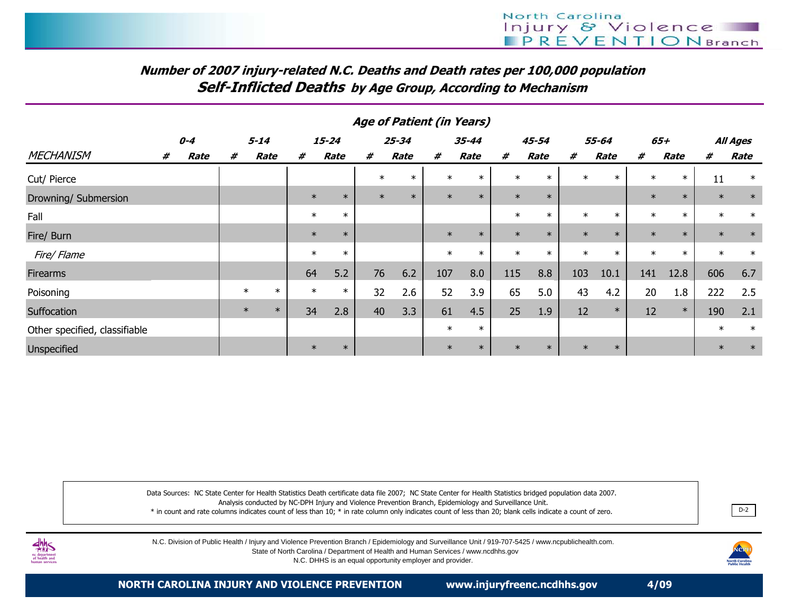# Number of 2007 injury-related N.C. Deaths and Death rates per 100,000 populationSelf-Inflicted Deaths by Age Group, According to Mechanism

|                               |         |      |          |        |        |           |        | Age of Patient (in Years) |        |        |        |        |        |        |        |        |        |          |
|-------------------------------|---------|------|----------|--------|--------|-----------|--------|---------------------------|--------|--------|--------|--------|--------|--------|--------|--------|--------|----------|
|                               | $0 - 4$ |      | $5 - 14$ |        |        | $15 - 24$ |        | $25 - 34$                 |        | 35-44  | 45-54  |        |        | 55-64  | $65+$  |        |        | All Ages |
| <b>MECHANISM</b>              | #       | Rate | #        | Rate   | #      | Rate      | #      | <b>Rate</b>               | #      | Rate   | #      | Rate   | #      | Rate   | #      | Rate   | #      | Rate     |
| Cut/ Pierce                   |         |      |          |        |        |           | $\ast$ | $\ast$                    | $\ast$ | $\ast$ | $\ast$ | $\ast$ | $\ast$ | $\ast$ | $\ast$ | $\ast$ | 11     | $\ast$   |
| Drowning/ Submersion          |         |      |          |        | $\ast$ | $\ast$    | $\ast$ | $\ast$                    | $\ast$ | $\ast$ | $\ast$ | $\ast$ |        |        | $\ast$ | $\ast$ | $\ast$ | $\ast$   |
| Fall                          |         |      |          |        | $\ast$ | $\ast$    |        |                           |        |        | $\ast$ | $\ast$ | $\ast$ | $\ast$ | $\ast$ | $\ast$ | $\ast$ | $\ast$   |
| Fire/ Burn                    |         |      |          |        | $\ast$ | $\ast$    |        |                           | $\ast$ | $\ast$ | $\ast$ | $\ast$ | $\ast$ | $\ast$ | $\ast$ | $\ast$ | $\ast$ | $\ast$   |
| Fire/ Flame                   |         |      |          |        | $\ast$ | $\ast$    |        |                           | $\ast$ | $\ast$ | $\ast$ | $\ast$ | $\ast$ | $\ast$ | $\ast$ | $\ast$ | $\ast$ | $\ast$   |
| Firearms                      |         |      |          |        | 64     | 5.2       | 76     | 6.2                       | 107    | 8.0    | 115    | 8.8    | 103    | 10.1   | 141    | 12.8   | 606    | 6.7      |
| Poisoning                     |         |      | $\ast$   | $\ast$ | $\ast$ | $\ast$    | 32     | 2.6                       | 52     | 3.9    | 65     | 5.0    | 43     | 4.2    | 20     | 1.8    | 222    | 2.5      |
| Suffocation                   |         |      | $\ast$   | $\ast$ | 34     | 2.8       | 40     | 3.3                       | 61     | 4.5    | 25     | 1.9    | 12     | $\ast$ | 12     | $\ast$ | 190    | 2.1      |
| Other specified, classifiable |         |      |          |        |        |           |        |                           | $\ast$ | $\ast$ |        |        |        |        |        |        | $\ast$ | $\ast$   |
| Unspecified                   |         |      |          |        | $\ast$ | $\ast$    |        |                           | $\ast$ | $\ast$ | $\ast$ | $\ast$ | $\ast$ | $\ast$ |        |        | $\ast$ | $\ast$   |

Data Sources: NC State Center for Health Statistics Death certificate data file 2007; NC State Center for Health Statistics bridged population data 2007.Analysis conducted by NC-DPH Injury and Violence Prevention Branch, Epidemiology and Surveillance Unit.

 \* in count and rate columns indicates count of less than 10; \* in rate column only indicates count of less than 20; blank cells indicate a count of zero.. D-2



N.C. Division of Public Health / Injury and Violence Prevention Branch / Epidemiology and Surveillance Unit / 919-707-5425 / www.ncpublichealth.com.

State of North Carolina / Department of Health and Human Services / www.ncdhhs.gov

N.C. DHHS is an equal opportunity employer and provider.

NCPH<br>
uth Carolina<br>
ublic Health

NORTH CAROLINA INJURY AND VIOLENCE PREVENTION www.injuryfreenc.ncdhhs.gov 4/09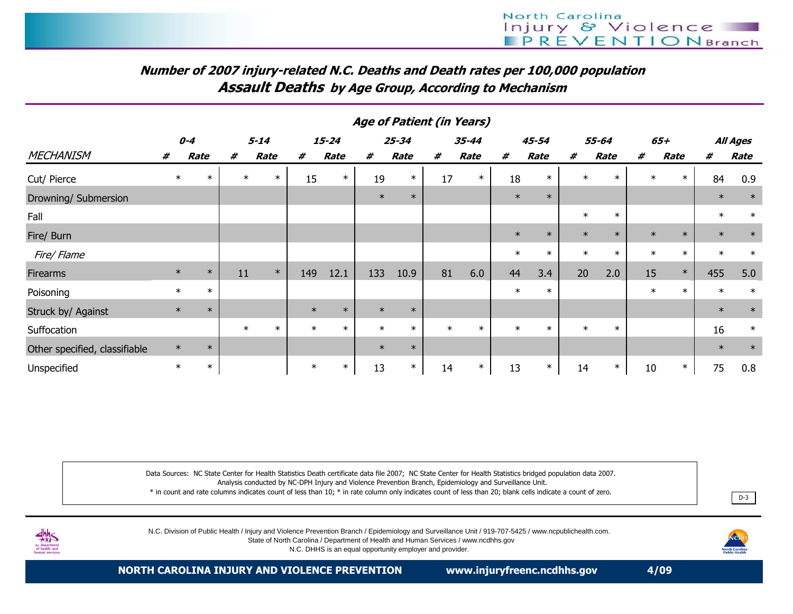# Number of 2007 injury-related N.C. Deaths and Death rates per 100,000 populationAssault Deaths by Age Group, According to Mechanism

|                               | <b>Age of Patient (in Years)</b> |         |    |                  |        |           |        |           |        |        |        |        |        |        |        |        |                 |        |
|-------------------------------|----------------------------------|---------|----|------------------|--------|-----------|--------|-----------|--------|--------|--------|--------|--------|--------|--------|--------|-----------------|--------|
|                               |                                  | $0 - 4$ |    | $5 - 14$         |        | $15 - 24$ |        | $25 - 34$ | 35-44  |        | 45-54  |        | 55-64  |        |        | 65+    | <b>All Ages</b> |        |
| <b>MECHANISM</b>              | #                                | Rate    | #  | Rate             | #      | Rate      | #      | Rate      | #      | Rate   | #      | Rate   | #      | Rate   | #      | Rate   | #               | Rate   |
| Cut/ Pierce                   | $\ast$                           | $\ast$  |    | $\ast$<br>$\ast$ | 15     | $\ast$    | 19     | $\ast$    | 17     | $\ast$ | 18     | $\ast$ | $\ast$ | $\ast$ | $\ast$ | $\ast$ | 84              | 0.9    |
| Drowning/ Submersion          |                                  |         |    |                  |        |           | $\ast$ | $\ast$    |        |        | $\ast$ | $\ast$ |        |        |        |        | $\ast$          | $\ast$ |
| Fall                          |                                  |         |    |                  |        |           |        |           |        |        |        |        | $\ast$ | $\ast$ |        |        | $\ast$          | $\ast$ |
| Fire/ Burn                    |                                  |         |    |                  |        |           |        |           |        |        | $\ast$ | $\ast$ | $\ast$ | $\ast$ | $\ast$ | $\ast$ | $\ast$          | $\ast$ |
| Fire/ Flame                   |                                  |         |    |                  |        |           |        |           |        |        | $\ast$ | $\ast$ | $\ast$ | $\ast$ | $\ast$ | $\ast$ | $\ast$          | $\ast$ |
| <b>Firearms</b>               | $\ast$                           | $\ast$  | 11 | $\ast$           | 149    | 12.1      | 133    | 10.9      | 81     | 6.0    | 44     | 3.4    | 20     | 2.0    | 15     | $\ast$ | 455             | 5.0    |
| Poisoning                     | $\ast$                           | $\ast$  |    |                  |        |           |        |           |        |        | $\ast$ | $\ast$ |        |        | $\ast$ | $\ast$ | $\ast$          | $\ast$ |
| Struck by/ Against            | $\ast$                           | $\ast$  |    |                  | $\ast$ | $\ast$    | $\ast$ | $\ast$    |        |        |        |        |        |        |        |        | $\ast$          | $\ast$ |
| Suffocation                   |                                  |         |    | $\ast$<br>$\ast$ | $\ast$ | $\ast$    | $\ast$ | $\ast$    | $\ast$ | $\ast$ | $\ast$ | $\ast$ | $\ast$ | $\ast$ |        |        | 16              | $\ast$ |
| Other specified, classifiable | $\ast$                           | $\ast$  |    |                  |        |           | $\ast$ | $\ast$    |        |        |        |        |        |        |        |        | $\ast$          | $\ast$ |
| Unspecified                   | $\ast$                           | $\ast$  |    |                  | $\ast$ | $\ast$    | 13     | $\ast$    | 14     | $\ast$ | 13     | $\ast$ | 14     | $\ast$ | 10     | $\ast$ | 75              | 0.8    |

Data Sources: NC State Center for Health Statistics Death certificate data file 2007; NC State Center for Health Statistics bridged population data 2007.Analysis conducted by NC-DPH Injury and Violence Prevention Branch, Epidemiology and Surveillance Unit.

 \* in count and rate columns indicates count of less than 10; \* in rate column only indicates count of less than 20; blank cells indicate a count of zero.<u>D-3</u> and the contract of the contract of the contract of the contract of the contract of the contract of the con



N.C. Division of Public Health / Injury and Violence Prevention Branch / Epidemiology and Surveillance Unit / 919-707-5425 / www.ncpublichealth.com.

State of North Carolina / Department of Health and Human Services / www.ncdhhs.gov

N.C. DHHS is an equal opportunity employer and provider.

r<mark>th Carolin</mark><br>Iblic Health

NORTH CAROLINA INJURY AND VIOLENCE PREVENTION www.injuryfreenc.ncdhhs.gov 4/09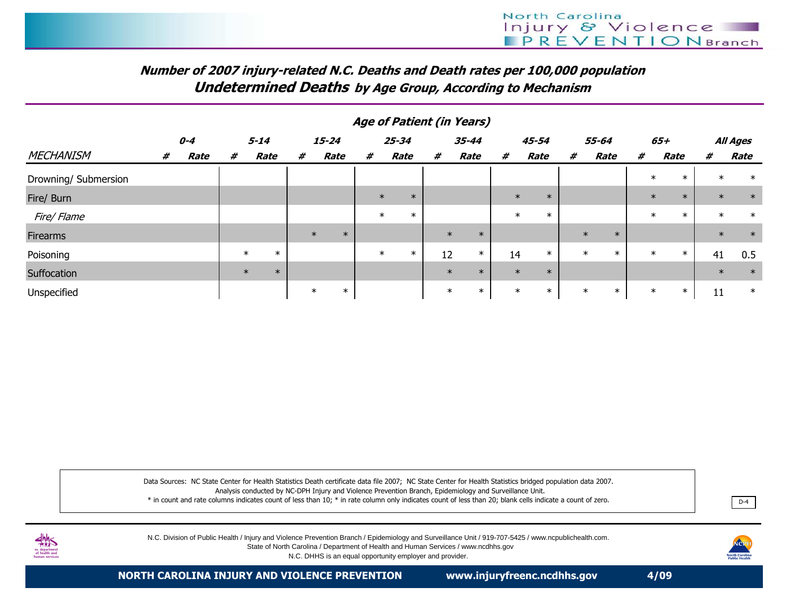# Number of 2007 injury-related N.C. Deaths and Death rates per 100,000 populationUndetermined Deaths by Age Group, According to Mechanism

|                      | Age of Patient (in Years) |      |          |        |           |   |             |        |           |        |       |        |        |       |        |        |        |                  |          |        |             |        |        |
|----------------------|---------------------------|------|----------|--------|-----------|---|-------------|--------|-----------|--------|-------|--------|--------|-------|--------|--------|--------|------------------|----------|--------|-------------|--------|--------|
|                      | $0 - 4$                   |      | $5 - 14$ |        | $15 - 24$ |   | $25 - 34$   |        | $35 - 44$ |        | 45-54 |        |        | 55-64 |        |        | 65+    |                  | All Ages |        |             |        |        |
| <b>MECHANISM</b>     | #                         | Rate | #        | Rate   |           | # | <b>Rate</b> |        | #         | Rate   | #     | Rate   |        | #     | Rate   |        | #      | Rate             | #        |        | <b>Rate</b> | #      | Rate   |
| Drowning/ Submersion |                           |      |          |        |           |   |             |        |           |        |       |        |        |       |        |        |        |                  |          | $\ast$ | $\ast$      | $\ast$ | $\ast$ |
| Fire/ Burn           |                           |      |          |        |           |   |             |        | $\ast$    | $\ast$ |       |        |        |       | $\ast$ | $\ast$ |        |                  |          | $\ast$ | $\ast$      | $\ast$ | $\ast$ |
| Fire/ Flame          |                           |      |          |        |           |   |             |        | $\ast$    | $\ast$ |       |        |        |       | $\ast$ | $\ast$ |        |                  |          | $\ast$ | $\ast$      | $\ast$ | $\ast$ |
| Firearms             |                           |      |          |        |           |   | $\ast$      | $\ast$ |           |        |       | $\ast$ | $\ast$ |       |        |        | $\ast$ | $\ast$           |          |        |             | $\ast$ | $\ast$ |
| Poisoning            |                           |      |          | $\ast$ | $\ast$    |   |             |        | $\ast$    | $\ast$ |       | 12     | $\ast$ | 14    |        | $\ast$ |        | $\ast$<br>$\ast$ |          | $\ast$ | $\ast$      | 41     | 0.5    |
| Suffocation          |                           |      |          | $\ast$ | $\ast$    |   |             |        |           |        |       | $\ast$ | $\ast$ |       | $\ast$ | $\ast$ |        |                  |          |        |             | $\ast$ | $\ast$ |
| Unspecified          |                           |      |          |        |           |   | $\ast$      | $\ast$ |           |        |       | $\ast$ | $\ast$ |       | $\ast$ | $\ast$ | $\ast$ | $\ast$           |          | $\ast$ | $\ast$      | 11     | $\ast$ |

Data Sources: NC State Center for Health Statistics Death certificate data file 2007; NC State Center for Health Statistics bridged population data 2007.Analysis conducted by NC-DPH Injury and Violence Prevention Branch, Epidemiology and Surveillance Unit.

 \* in count and rate columns indicates count of less than 10; \* in rate column only indicates count of less than 20; blank cells indicate a count of zero.. D-4



N.C. Division of Public Health / Injury and Violence Prevention Branch / Epidemiology and Surveillance Unit / 919-707-5425 / www.ncpublichealth.com. State of North Carolina / Department of Health and Human Services / www.ncdhhs.govN.C. DHHS is an equal opportunity employer and provider.

NCR

NORTH CAROLINA INJURY AND VIOLENCE PREVENTION www.injuryfreenc.ncdhhs.gov 4/09